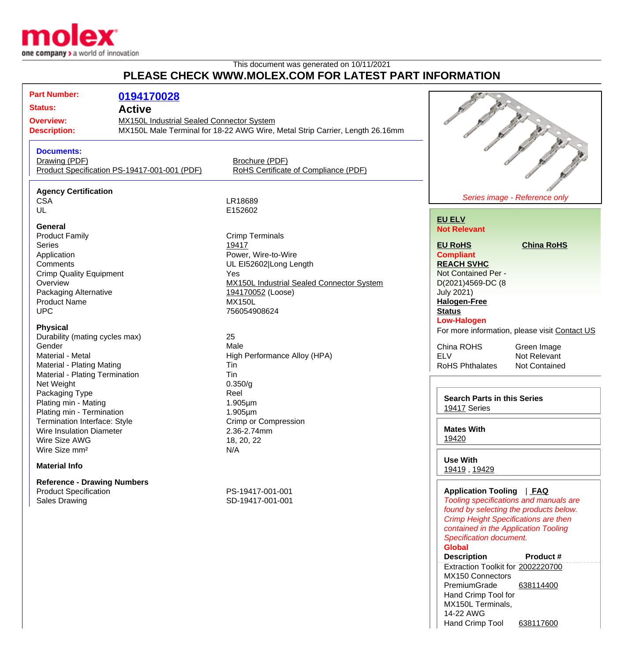

## This document was generated on 10/11/2021 **PLEASE CHECK WWW.MOLEX.COM FOR LATEST PART INFORMATION**

| FLEASE CHECK WWW.INCLEA.COM FOR LATEST FART INFORMATION                                                                                                                                                                                                                                                                                                                                                                                                                                                                                                                                                                                                                |                                              |                                                                                                                                                                                                                                                                                                                                                                                                                               |                                                                                                                                                                                                                                                                                                                                                                                                                                                                                                                                                                                                                                                                                                                                           |
|------------------------------------------------------------------------------------------------------------------------------------------------------------------------------------------------------------------------------------------------------------------------------------------------------------------------------------------------------------------------------------------------------------------------------------------------------------------------------------------------------------------------------------------------------------------------------------------------------------------------------------------------------------------------|----------------------------------------------|-------------------------------------------------------------------------------------------------------------------------------------------------------------------------------------------------------------------------------------------------------------------------------------------------------------------------------------------------------------------------------------------------------------------------------|-------------------------------------------------------------------------------------------------------------------------------------------------------------------------------------------------------------------------------------------------------------------------------------------------------------------------------------------------------------------------------------------------------------------------------------------------------------------------------------------------------------------------------------------------------------------------------------------------------------------------------------------------------------------------------------------------------------------------------------------|
| <b>Part Number:</b><br>0194170028<br><b>Status:</b><br><b>Active</b><br><b>Overview:</b><br><b>MX150L Industrial Sealed Connector System</b><br><b>Description:</b>                                                                                                                                                                                                                                                                                                                                                                                                                                                                                                    |                                              | MX150L Male Terminal for 18-22 AWG Wire, Metal Strip Carrier, Length 26.16mm                                                                                                                                                                                                                                                                                                                                                  |                                                                                                                                                                                                                                                                                                                                                                                                                                                                                                                                                                                                                                                                                                                                           |
| <b>Documents:</b><br>Drawing (PDF)                                                                                                                                                                                                                                                                                                                                                                                                                                                                                                                                                                                                                                     | Product Specification PS-19417-001-001 (PDF) | Brochure (PDF)<br>RoHS Certificate of Compliance (PDF)                                                                                                                                                                                                                                                                                                                                                                        |                                                                                                                                                                                                                                                                                                                                                                                                                                                                                                                                                                                                                                                                                                                                           |
| <b>Agency Certification</b><br><b>CSA</b><br>UL                                                                                                                                                                                                                                                                                                                                                                                                                                                                                                                                                                                                                        |                                              | LR18689<br>E152602                                                                                                                                                                                                                                                                                                                                                                                                            | Series image - Reference only                                                                                                                                                                                                                                                                                                                                                                                                                                                                                                                                                                                                                                                                                                             |
| General<br><b>Product Family</b><br><b>Series</b><br>Application<br>Comments<br><b>Crimp Quality Equipment</b><br>Overview<br>Packaging Alternative<br><b>Product Name</b><br><b>UPC</b><br><b>Physical</b><br>Durability (mating cycles max)<br>Gender<br>Material - Metal<br>Material - Plating Mating<br>Material - Plating Termination<br>Net Weight<br>Packaging Type<br>Plating min - Mating<br>Plating min - Termination<br><b>Termination Interface: Style</b><br>Wire Insulation Diameter<br>Wire Size AWG<br>Wire Size mm <sup>2</sup><br><b>Material Info</b><br><b>Reference - Drawing Numbers</b><br><b>Product Specification</b><br><b>Sales Drawing</b> |                                              | <b>Crimp Terminals</b><br>19417<br>Power, Wire-to-Wire<br>UL EI52602 Long Length<br>Yes<br><b>MX150L Industrial Sealed Connector System</b><br>194170052 (Loose)<br><b>MX150L</b><br>756054908624<br>25<br>Male<br>High Performance Alloy (HPA)<br>Tin<br>Tin<br>0.350/g<br>Reel<br>$1.905 \mu m$<br>$1.905 \mu m$<br><b>Crimp or Compression</b><br>2.36-2.74mm<br>18, 20, 22<br>N/A<br>PS-19417-001-001<br>SD-19417-001-001 | <b>EU ELV</b><br><b>Not Relevant</b><br><b>EU RoHS</b><br><b>China RoHS</b><br><b>Compliant</b><br><b>REACH SVHC</b><br>Not Contained Per -<br>D(2021)4569-DC (8<br><b>July 2021)</b><br><b>Halogen-Free</b><br><b>Status</b><br><b>Low-Halogen</b><br>For more information, please visit Contact US<br>China ROHS<br>Green Image<br><b>ELV</b><br>Not Relevant<br><b>RoHS Phthalates</b><br>Not Contained<br><b>Search Parts in this Series</b><br>19417 Series<br><b>Mates With</b><br>19420<br><b>Use With</b><br>19419, 19429<br>Application Tooling   FAQ<br>Tooling specifications and manuals are<br>found by selecting the products below.<br><b>Crimp Height Specifications are then</b><br>contained in the Application Tooling |

**Global**

MX150 Connectors PremiumGrade Hand Crimp Tool for MX150L Terminals,

14-22 AWG

**Description Product #** Extraction Toolkit for [2002220700](http://www.molex.com/molex/products/datasheet.jsp?part=active/2002220700_APPLICATION_TOOLIN.xml)

Hand Crimp Tool [638117600](http://www.molex.com/molex/products/datasheet.jsp?part=active/0638117600_APPLICATION_TOOLIN.xml)

[638114400](http://www.molex.com/molex/products/datasheet.jsp?part=active/0638114400_APPLICATION_TOOLIN.xml)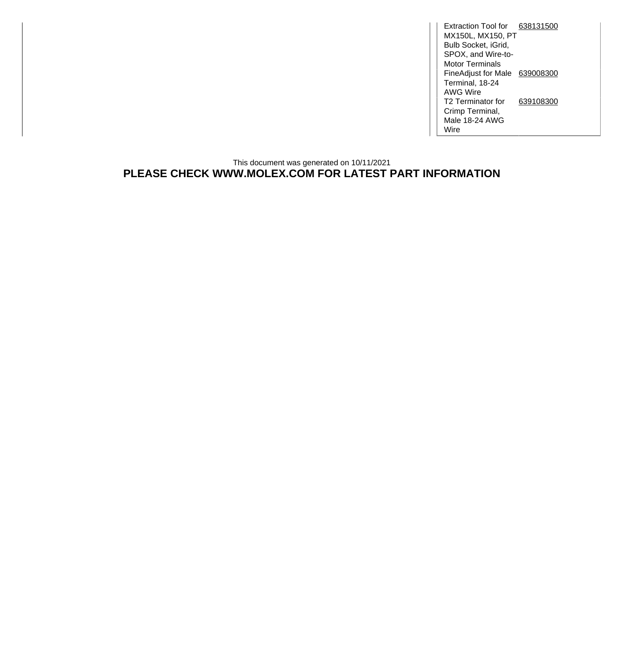Extraction Tool for [638131500](http://www.molex.com/molex/products/datasheet.jsp?part=active/0638131500_APPLICATION_TOOLIN.xml) MX150L, MX150, PT Bulb Socket, iGrid, SPOX, and Wire-to-Motor Terminals FineAdjust for Male [639008300](http://www.molex.com/molex/products/datasheet.jsp?part=active/0639008300_APPLICATION_TOOLIN.xml) Terminal, 18-24 AWG Wire T2 Terminator for Crimp Terminal, Male 18-24 AWG Wire [639108300](http://www.molex.com/molex/products/datasheet.jsp?part=active/0639108300_APPLICATION_TOOLIN.xml)

## This document was generated on 10/11/2021 **PLEASE CHECK WWW.MOLEX.COM FOR LATEST PART INFORMATION**